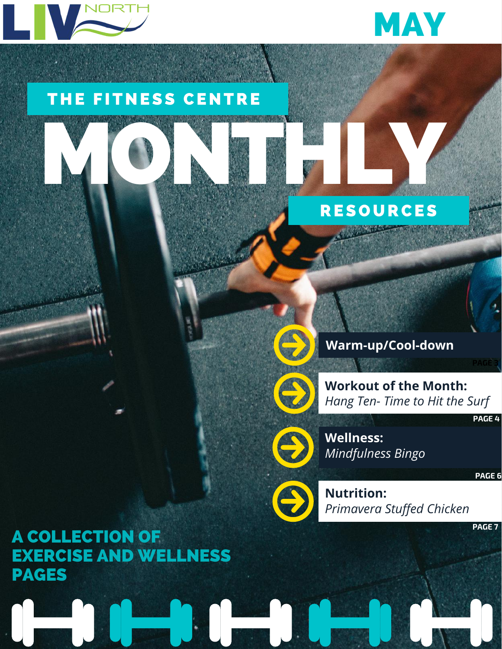



### THE FITNESS CENTRE

# MONTHLY **RESOURCES**



P)

8

**Warm-up/Cool-down**

**Workout of the Month:** *Hang Ten- Time to Hit the Surf*

**PAGE 4**

**PAGE 3**

**Wellness:** *Mindfulness Bingo*

**PAGE 6**

**Nutrition:** *Primavera Stuffed Chicken*

**PAGE 7**

A COLLECTION OF EXERCISE AND WELLNESS PAGES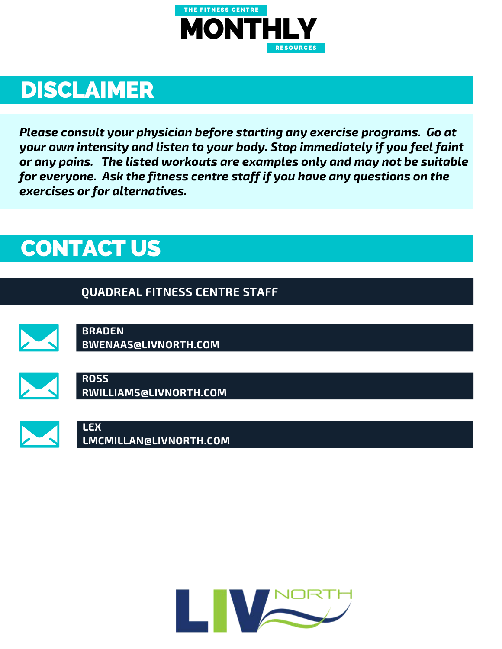

### DISCLAIMER

*Please consult your physician before starting any exercise programs. Go at your own intensity and listen to your body. Stop immediately if you feel faint or any pains. The listed workouts are examples only and may not be suitable for everyone. Ask the fitness centre staff if you have any questions on the exercises or for alternatives.*

### CONTACT US

#### **QUADREAL FITNESS CENTRE STAFF**



**BRADEN BWENAAS@LIVNORTH.COM**



**ROSS RWILLIAMS@LIVNORTH.COM**



**LEX LMCMILLAN@LIVNORTH.COM**

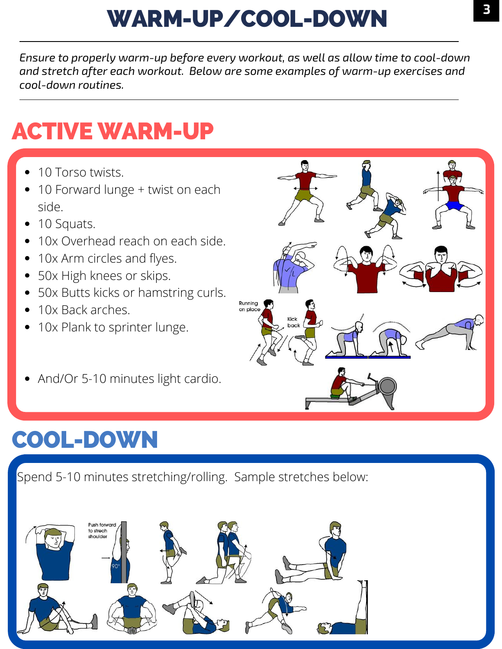# WARM-UP/COOL-DOWN

*Ensure to properly warm-up before every workout, as well as allow time to cool-down and stretch after each workout. Below are some examples of warm-up exercises and cool-down routines.*

## ACTIVE WARM-UP

- 10 Torso twists.
- 10 Forward lunge + twist on each side.
- 10 Squats.
- 10x Overhead reach on each side.
- 10x Arm circles and flyes.
- 50x High knees or skips.
- 50x Butts kicks or hamstring curls.
- 10x Back arches.
- 10x Plank to sprinter lunge.
- And/Or 5-10 minutes light cardio.

# COOL-DOWN

Spend 5-10 minutes stretching/rolling. Sample stretches below:



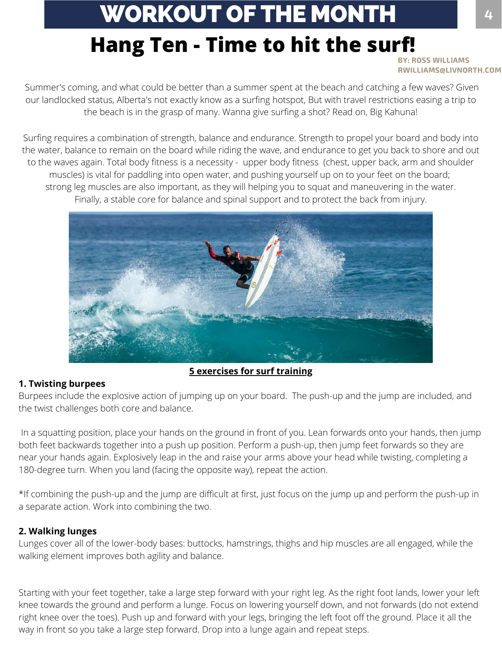## WORKOUT OF THE MONTH **<sup>4</sup>**

### **Hang Ten - Time to hit the surf!**

**BY: ROSS WILLIAMS RWILLIAMS@LIVNORTH.COM**

Summer's coming, and what could be better than a summer spent at the beach and catching a few waves? Given our landlocked status, Alberta's not exactly know as a surfing hotspot, But with travel restrictions easing a trip to the beach is in the grasp of many. Wanna give surfing a shot? Read on, Big Kahuna!

Surfing requires a combination of strength, balance and endurance. Strength to propel your board and body into the water, balance to remain on the board while riding the wave, and endurance to get you back to shore and out to the waves again. Total body fitness is a necessity - upper body fitness (chest, upper back, arm and shoulder muscles) is vital for paddling into open water, and pushing yourself up on to your feet on the board; strong leg muscles are also important, as they will helping you to squat and maneuvering in the water. Finally, a stable core for balance and spinal support and to protect the back from injury.



#### **5 exercises for surf training**

#### **1. Twisting burpees**

Burpees include the explosive action of jumping up on your board. The push-up and the jump are included, and the twist challenges both core and balance.

In a squatting position, place your hands on the ground in front of you. Lean forwards onto your hands, then jump both feet backwards together into a push up position. Perform a push-up, then jump feet forwards so they are near your hands again. Explosively leap in the and raise your arms above your head while twisting, completing a 180-degree turn. When you land (facing the opposite way), repeat the action.

\*If combining the push-up and the jump are difficult at first, just focus on the jump up and perform the push-up in a separate action. Work into combining the two.

#### **2. Walking lunges**

Lunges cover all of the lower-body bases: buttocks, hamstrings, thighs and hip muscles are all engaged, while the walking element improves both agility and balance.

Starting with your feet together, take a large step forward with your right leg. As the right foot lands, lower your left knee towards the ground and perform a lunge. Focus on lowering yourself down, and not forwards (do not extend right knee over the toes). Push up and forward with your legs, bringing the left foot off the ground. Place it all the way in front so you take a large step forward. Drop into a lunge again and repeat steps.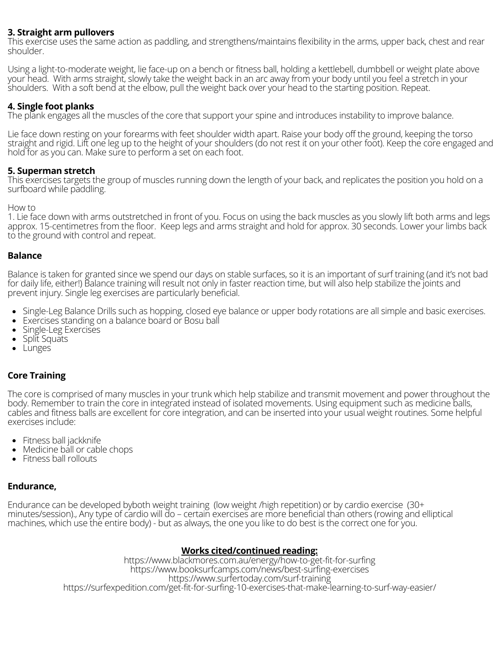#### **3. Straight arm pullovers**

This exercise uses the same action as paddling, and strengthens/maintains flexibility in the arms, upper back, chest and rear shoulder.

Using a light-to-moderate weight, lie face-up on a bench or fitness ball, holding a kettlebell, dumbbell or weight plate above your head. With arms straight, slowly take the weight back in an arc away from your body until you feel a stretch in your shoulders. With a soft bend at the elbow, pull the weight back over your head to the starting position. Repeat.

#### **4. Single foot planks**

The plank engages all the muscles of the core that support your spine and introduces instability to improve balance.

Lie face down resting on your forearms with feet shoulder width apart. Raise your body off the ground, keeping the torso straight and rigid. Lift one leg up to the height of your shoulders (do not rest it on your other foot). Keep the core engaged and hold for as you can. Make sure to perform a set on each foot.

#### **5. Superman stretch**

This exercises targets the group of muscles running down the length of your back, and replicates the position you hold on a surfboard while paddling.

#### How to

1. Lie face down with arms outstretched in front of you. Focus on using the back muscles as you slowly lift both arms and legs approx. 15-centimetres from the floor. Keep legs and arms straight and hold for approx. 30 seconds. Lower your limbs back to the ground with control and repeat.

#### **Balance**

Balance is taken for granted since we spend our days on stable surfaces, so it is an important of surf training (and it's not bad for daily life, either!) Balance training will result not only in faster reaction time, but will also help stabilize the joints and prevent injury. Single leg exercises are particularly beneficial.

- Single-Leg Balance Drills such as hopping, closed eye balance or upper body rotations are all simple and basic exercises.
- Exercises standing on a balance board or Bosu ball  $\bullet$
- Single-Leg Exercises  $\bullet$
- Split Squats  $\bullet$
- **Lunges**

#### **Core Training**

The core is comprised of many muscles in your trunk which help stabilize and transmit movement and power throughout the body. Remember to train the core in integrated instead of isolated movements. Using equipment such as medicine balls, cables and fitness balls are excellent for core integration, and can be inserted into your usual weight routines. Some helpful exercises include:

- Fitness ball jackknife
- Medicine ball or cable chops
- Fitness ball rollouts

#### **Endurance,**

Endurance can be developed byboth weight training (low weight /high repetition) or by cardio exercise (30+ minutes/session)., Any type of cardio will do – certain exercises are more beneficial than others (rowing and elliptical machines, which use the entire body) - but as always, the one you like to do best is the correct one for you.

#### **Works cited/continued reading:**

https://www.blackmores.com.au/energy/how-to-get-fit-for-surfing https://www.booksurfcamps.com/news/best-surfing-exercises https://www.surfertoday.com/surf-training https://surfexpedition.com/get-fit-for-surfing-10-exercises-that-make-learning-to-surf-way-easier/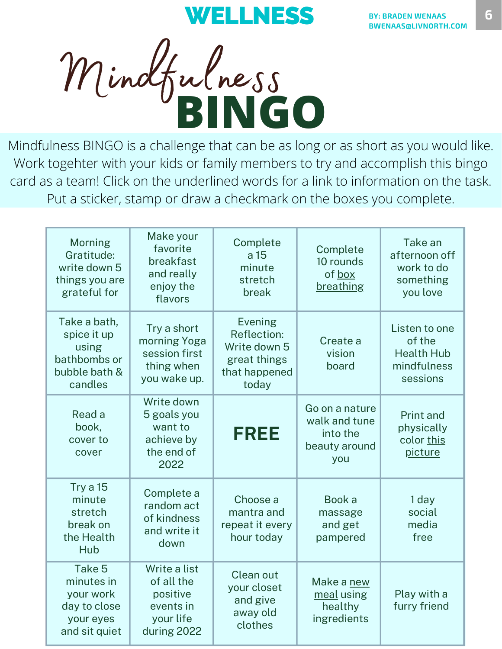**BINGO** Mindfulness

Mindfulness BINGO is a challenge that can be as long or as short as you would like. Work togehter with your kids or family members to try and accomplish this bingo card as a team! Click on the underlined words for a link to information on the task. Put a sticker, stamp or draw a checkmark on the boxes you complete.

| <b>Morning</b><br>Gratitude:<br>write down 5<br>things you are<br>grateful for   | Make your<br>favorite<br>breakfast<br>and really<br>enjoy the<br>flavors        | Complete<br>a 15<br>minute<br>stretch<br>break                                                 | Complete<br>10 rounds<br>of box<br>breathing                        | Take an<br>afternoon off<br>work to do<br>something<br>you love         |
|----------------------------------------------------------------------------------|---------------------------------------------------------------------------------|------------------------------------------------------------------------------------------------|---------------------------------------------------------------------|-------------------------------------------------------------------------|
| Take a bath,<br>spice it up<br>using<br>bathbombs or<br>bubble bath &<br>candles | Try a short<br>morning Yoga<br>session first<br>thing when<br>you wake up.      | <b>Evening</b><br><b>Reflection:</b><br>Write down 5<br>great things<br>that happened<br>today | Create a<br>vision<br>board                                         | Listen to one<br>of the<br><b>Health Hub</b><br>mindfulness<br>sessions |
| Read a<br>book,<br>cover to<br>cover                                             | Write down<br>5 goals you<br>want to<br>achieve by<br>the end of<br>2022        | <b>FREE</b>                                                                                    | Go on a nature<br>walk and tune<br>into the<br>beauty around<br>you | Print and<br>physically<br>color this<br>picture                        |
| Try a 15<br>minute<br>stretch<br>break on<br>the Health<br>Hub                   | Complete a<br>random act<br>of kindness<br>and write it<br>down                 | Choose a<br>mantra and<br>repeat it every<br>hour today                                        | Book a<br>massage<br>and get<br>pampered                            | 1 day<br>social<br>media<br>free                                        |
| Take 5<br>minutes in<br>your work<br>day to close<br>your eyes<br>and sit quiet  | Write a list<br>of all the<br>positive<br>events in<br>your life<br>during 2022 | Clean out<br>your closet<br>and give<br>away old<br>clothes                                    | Make a new<br>meal using<br>healthy<br>ingredients                  | Play with a<br>furry friend                                             |